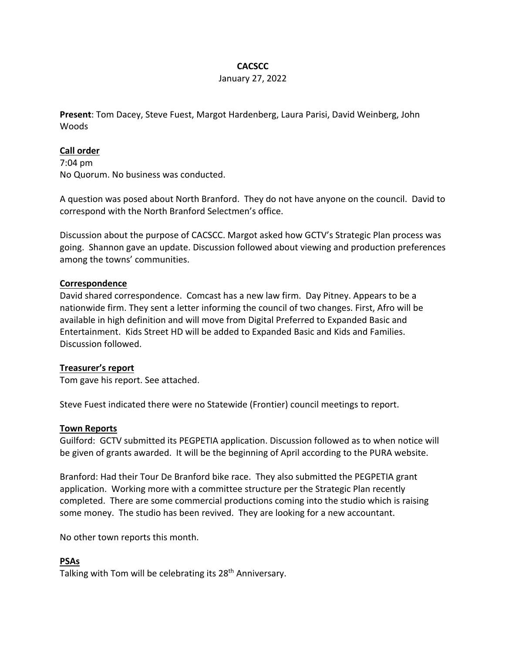# **CACSCC**

#### January 27, 2022

**Present**: Tom Dacey, Steve Fuest, Margot Hardenberg, Laura Parisi, David Weinberg, John Woods

### **Call order**

7:04 pm No Quorum. No business was conducted.

A question was posed about North Branford. They do not have anyone on the council. David to correspond with the North Branford Selectmen's office.

Discussion about the purpose of CACSCC. Margot asked how GCTV's Strategic Plan process was going. Shannon gave an update. Discussion followed about viewing and production preferences among the towns' communities.

#### **Correspondence**

David shared correspondence. Comcast has a new law firm. Day Pitney. Appears to be a nationwide firm. They sent a letter informing the council of two changes. First, Afro will be available in high definition and will move from Digital Preferred to Expanded Basic and Entertainment. Kids Street HD will be added to Expanded Basic and Kids and Families. Discussion followed.

## **Treasurer's report**

Tom gave his report. See attached.

Steve Fuest indicated there were no Statewide (Frontier) council meetings to report.

#### **Town Reports**

Guilford: GCTV submitted its PEGPETIA application. Discussion followed as to when notice will be given of grants awarded. It will be the beginning of April according to the PURA website.

Branford: Had their Tour De Branford bike race. They also submitted the PEGPETIA grant application. Working more with a committee structure per the Strategic Plan recently completed. There are some commercial productions coming into the studio which is raising some money. The studio has been revived. They are looking for a new accountant.

No other town reports this month.

## **PSAs**

Talking with Tom will be celebrating its 28<sup>th</sup> Anniversary.